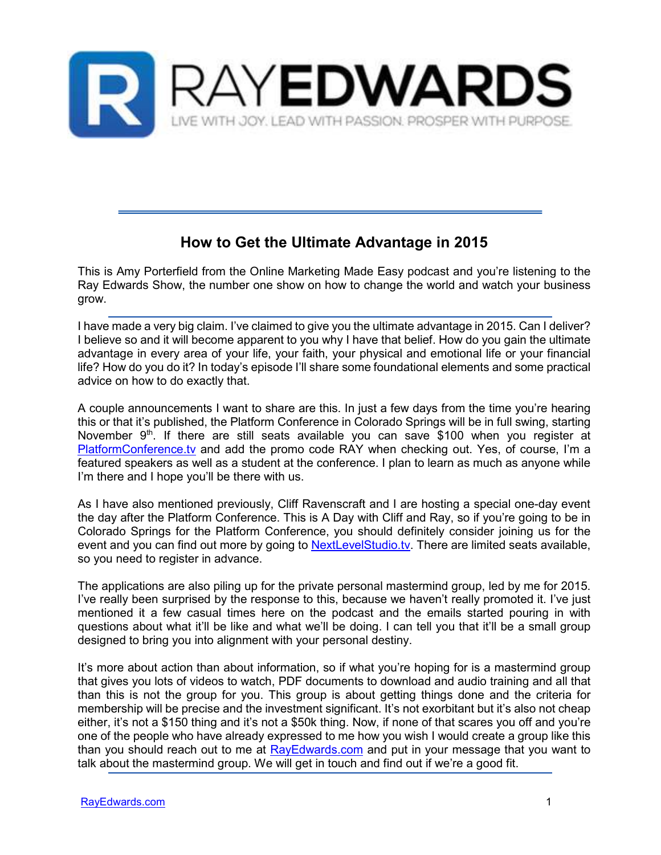

# **How to Get the Ultimate Advantage in 2015**

This is Amy Porterfield from the Online Marketing Made Easy podcast and you're listening to the Ray Edwards Show, the number one show on how to change the world and watch your business grow.

I have made a very big claim. I've claimed to give you the ultimate advantage in 2015. Can I deliver? I believe so and it will become apparent to you why I have that belief. How do you gain the ultimate advantage in every area of your life, your faith, your physical and emotional life or your financial life? How do you do it? In today's episode I'll share some foundational elements and some practical advice on how to do exactly that.

A couple announcements I want to share are this. In just a few days from the time you're hearing this or that it's published, the Platform Conference in Colorado Springs will be in full swing, starting November 9<sup>th</sup>. If there are still seats available you can save \$100 when you register at PlatformConference.tv and add the promo code RAY when checking out. Yes, of course, I'm a featured speakers as well as a student at the conference. I plan to learn as much as anyone while I'm there and I hope you'll be there with us.

As I have also mentioned previously, Cliff Ravenscraft and I are hosting a special one-day event the day after the Platform Conference. This is A Day with Cliff and Ray, so if you're going to be in Colorado Springs for the Platform Conference, you should definitely consider joining us for the event and you can find out more by going to **NextLevelStudio.tv**. There are limited seats available, so you need to register in advance.

The applications are also piling up for the private personal mastermind group, led by me for 2015. I've really been surprised by the response to this, because we haven't really promoted it. I've just mentioned it a few casual times here on the podcast and the emails started pouring in with questions about what it'll be like and what we'll be doing. I can tell you that it'll be a small group designed to bring you into alignment with your personal destiny.

It's more about action than about information, so if what you're hoping for is a mastermind group that gives you lots of videos to watch, PDF documents to download and audio training and all that than this is not the group for you. This group is about getting things done and the criteria for membership will be precise and the investment significant. It's not exorbitant but it's also not cheap either, it's not a \$150 thing and it's not a \$50k thing. Now, if none of that scares you off and you're one of the people who have already expressed to me how you wish I would create a group like this than you should reach out to me at RayEdwards.com and put in your message that you want to talk about the mastermind group. We will get in touch and find out if we're a good fit.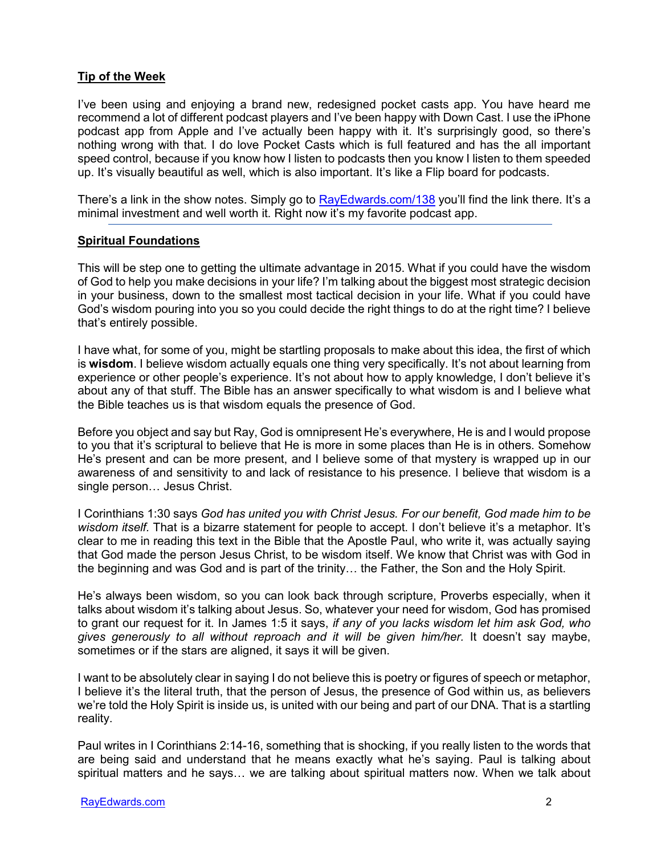## **Tip of the Week**

I've been using and enjoying a brand new, redesigned pocket casts app. You have heard me recommend a lot of different podcast players and I've been happy with Down Cast. I use the iPhone podcast app from Apple and I've actually been happy with it. It's surprisingly good, so there's nothing wrong with that. I do love Pocket Casts which is full featured and has the all important speed control, because if you know how I listen to podcasts then you know I listen to them speeded up. It's visually beautiful as well, which is also important. It's like a Flip board for podcasts.

There's a link in the show notes. Simply go to RayEdwards.com/138 you'll find the link there. It's a minimal investment and well worth it. Right now it's my favorite podcast app.

#### **Spiritual Foundations**

This will be step one to getting the ultimate advantage in 2015. What if you could have the wisdom of God to help you make decisions in your life? I'm talking about the biggest most strategic decision in your business, down to the smallest most tactical decision in your life. What if you could have God's wisdom pouring into you so you could decide the right things to do at the right time? I believe that's entirely possible.

I have what, for some of you, might be startling proposals to make about this idea, the first of which is **wisdom**. I believe wisdom actually equals one thing very specifically. It's not about learning from experience or other people's experience. It's not about how to apply knowledge, I don't believe it's about any of that stuff. The Bible has an answer specifically to what wisdom is and I believe what the Bible teaches us is that wisdom equals the presence of God.

Before you object and say but Ray, God is omnipresent He's everywhere, He is and I would propose to you that it's scriptural to believe that He is more in some places than He is in others. Somehow He's present and can be more present, and I believe some of that mystery is wrapped up in our awareness of and sensitivity to and lack of resistance to his presence. I believe that wisdom is a single person… Jesus Christ.

I Corinthians 1:30 says *God has united you with Christ Jesus. For our benefit, God made him to be wisdom itself.* That is a bizarre statement for people to accept. I don't believe it's a metaphor. It's clear to me in reading this text in the Bible that the Apostle Paul, who write it, was actually saying that God made the person Jesus Christ, to be wisdom itself. We know that Christ was with God in the beginning and was God and is part of the trinity… the Father, the Son and the Holy Spirit.

He's always been wisdom, so you can look back through scripture, Proverbs especially, when it talks about wisdom it's talking about Jesus. So, whatever your need for wisdom, God has promised to grant our request for it. In James 1:5 it says, *if any of you lacks wisdom let him ask God, who gives generously to all without reproach and it will be given him/her.* It doesn't say maybe, sometimes or if the stars are aligned, it says it will be given.

I want to be absolutely clear in saying I do not believe this is poetry or figures of speech or metaphor, I believe it's the literal truth, that the person of Jesus, the presence of God within us, as believers we're told the Holy Spirit is inside us, is united with our being and part of our DNA. That is a startling reality.

Paul writes in I Corinthians 2:14-16, something that is shocking, if you really listen to the words that are being said and understand that he means exactly what he's saying. Paul is talking about spiritual matters and he says… we are talking about spiritual matters now. When we talk about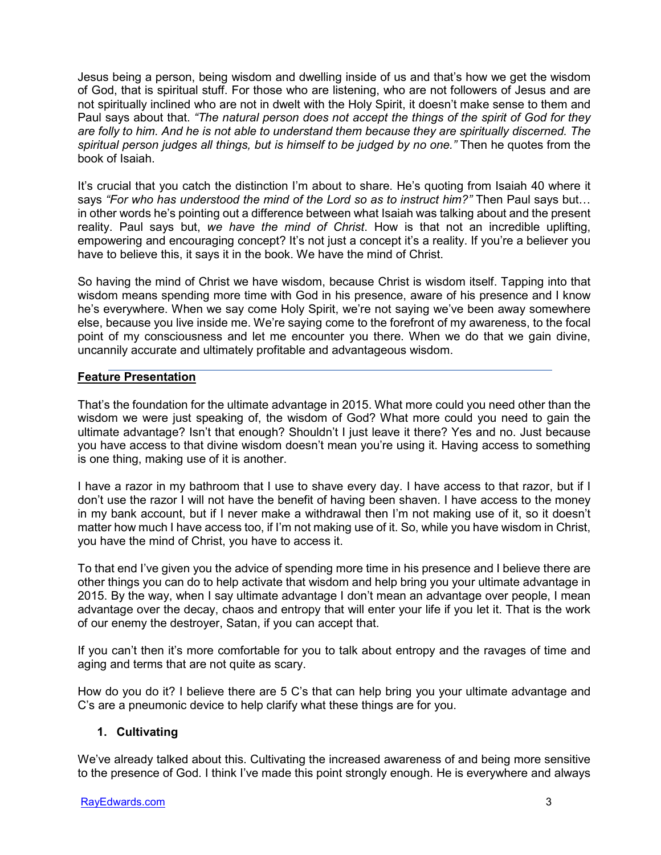Jesus being a person, being wisdom and dwelling inside of us and that's how we get the wisdom of God, that is spiritual stuff. For those who are listening, who are not followers of Jesus and are not spiritually inclined who are not in dwelt with the Holy Spirit, it doesn't make sense to them and Paul says about that. *"The natural person does not accept the things of the spirit of God for they are folly to him. And he is not able to understand them because they are spiritually discerned. The spiritual person judges all things, but is himself to be judged by no one."* Then he quotes from the book of Isaiah.

It's crucial that you catch the distinction I'm about to share. He's quoting from Isaiah 40 where it says *"For who has understood the mind of the Lord so as to instruct him?"* Then Paul says but… in other words he's pointing out a difference between what Isaiah was talking about and the present reality. Paul says but, *we have the mind of Christ*. How is that not an incredible uplifting, empowering and encouraging concept? It's not just a concept it's a reality. If you're a believer you have to believe this, it says it in the book. We have the mind of Christ.

So having the mind of Christ we have wisdom, because Christ is wisdom itself. Tapping into that wisdom means spending more time with God in his presence, aware of his presence and I know he's everywhere. When we say come Holy Spirit, we're not saying we've been away somewhere else, because you live inside me. We're saying come to the forefront of my awareness, to the focal point of my consciousness and let me encounter you there. When we do that we gain divine, uncannily accurate and ultimately profitable and advantageous wisdom.

## **Feature Presentation**

That's the foundation for the ultimate advantage in 2015. What more could you need other than the wisdom we were just speaking of, the wisdom of God? What more could you need to gain the ultimate advantage? Isn't that enough? Shouldn't I just leave it there? Yes and no. Just because you have access to that divine wisdom doesn't mean you're using it. Having access to something is one thing, making use of it is another.

I have a razor in my bathroom that I use to shave every day. I have access to that razor, but if I don't use the razor I will not have the benefit of having been shaven. I have access to the money in my bank account, but if I never make a withdrawal then I'm not making use of it, so it doesn't matter how much I have access too, if I'm not making use of it. So, while you have wisdom in Christ, you have the mind of Christ, you have to access it.

To that end I've given you the advice of spending more time in his presence and I believe there are other things you can do to help activate that wisdom and help bring you your ultimate advantage in 2015. By the way, when I say ultimate advantage I don't mean an advantage over people, I mean advantage over the decay, chaos and entropy that will enter your life if you let it. That is the work of our enemy the destroyer, Satan, if you can accept that.

If you can't then it's more comfortable for you to talk about entropy and the ravages of time and aging and terms that are not quite as scary.

How do you do it? I believe there are 5 C's that can help bring you your ultimate advantage and C's are a pneumonic device to help clarify what these things are for you.

## **1. Cultivating**

We've already talked about this. Cultivating the increased awareness of and being more sensitive to the presence of God. I think I've made this point strongly enough. He is everywhere and always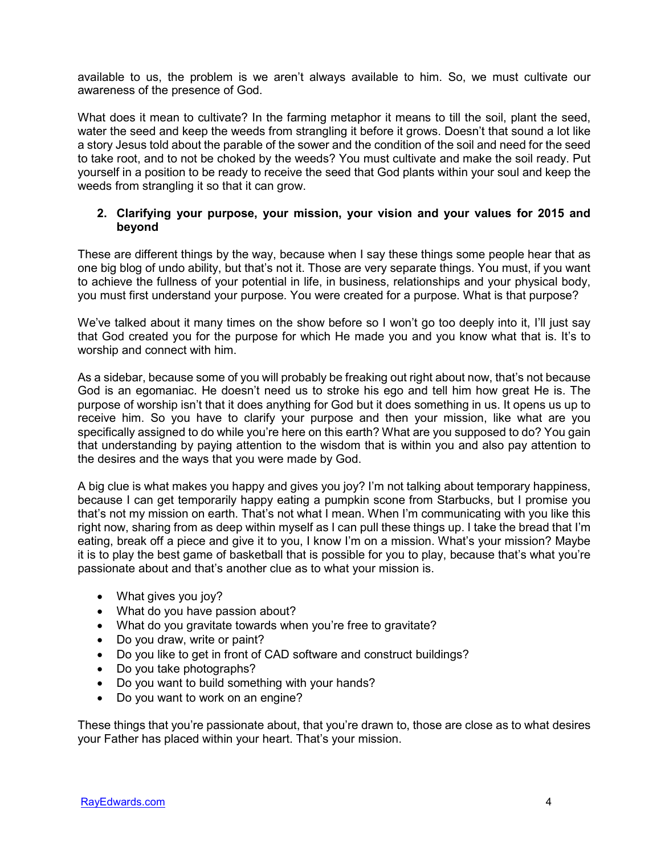available to us, the problem is we aren't always available to him. So, we must cultivate our awareness of the presence of God.

What does it mean to cultivate? In the farming metaphor it means to till the soil, plant the seed, water the seed and keep the weeds from strangling it before it grows. Doesn't that sound a lot like a story Jesus told about the parable of the sower and the condition of the soil and need for the seed to take root, and to not be choked by the weeds? You must cultivate and make the soil ready. Put yourself in a position to be ready to receive the seed that God plants within your soul and keep the weeds from strangling it so that it can grow.

### **2. Clarifying your purpose, your mission, your vision and your values for 2015 and beyond**

These are different things by the way, because when I say these things some people hear that as one big blog of undo ability, but that's not it. Those are very separate things. You must, if you want to achieve the fullness of your potential in life, in business, relationships and your physical body, you must first understand your purpose. You were created for a purpose. What is that purpose?

We've talked about it many times on the show before so I won't go too deeply into it, I'll just say that God created you for the purpose for which He made you and you know what that is. It's to worship and connect with him.

As a sidebar, because some of you will probably be freaking out right about now, that's not because God is an egomaniac. He doesn't need us to stroke his ego and tell him how great He is. The purpose of worship isn't that it does anything for God but it does something in us. It opens us up to receive him. So you have to clarify your purpose and then your mission, like what are you specifically assigned to do while you're here on this earth? What are you supposed to do? You gain that understanding by paying attention to the wisdom that is within you and also pay attention to the desires and the ways that you were made by God.

A big clue is what makes you happy and gives you joy? I'm not talking about temporary happiness, because I can get temporarily happy eating a pumpkin scone from Starbucks, but I promise you that's not my mission on earth. That's not what I mean. When I'm communicating with you like this right now, sharing from as deep within myself as I can pull these things up. I take the bread that I'm eating, break off a piece and give it to you, I know I'm on a mission. What's your mission? Maybe it is to play the best game of basketball that is possible for you to play, because that's what you're passionate about and that's another clue as to what your mission is.

- What gives you joy?
- What do you have passion about?
- What do you gravitate towards when you're free to gravitate?
- Do you draw, write or paint?
- Do you like to get in front of CAD software and construct buildings?
- Do you take photographs?
- Do you want to build something with your hands?
- Do you want to work on an engine?

These things that you're passionate about, that you're drawn to, those are close as to what desires your Father has placed within your heart. That's your mission.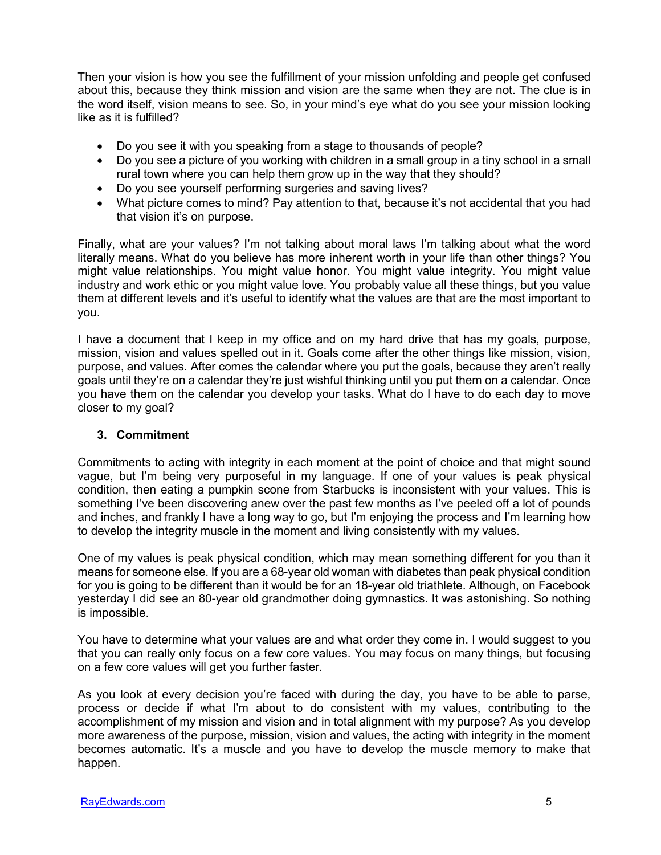Then your vision is how you see the fulfillment of your mission unfolding and people get confused about this, because they think mission and vision are the same when they are not. The clue is in the word itself, vision means to see. So, in your mind's eye what do you see your mission looking like as it is fulfilled?

- Do you see it with you speaking from a stage to thousands of people?
- Do you see a picture of you working with children in a small group in a tiny school in a small rural town where you can help them grow up in the way that they should?
- Do you see yourself performing surgeries and saving lives?
- What picture comes to mind? Pay attention to that, because it's not accidental that you had that vision it's on purpose.

Finally, what are your values? I'm not talking about moral laws I'm talking about what the word literally means. What do you believe has more inherent worth in your life than other things? You might value relationships. You might value honor. You might value integrity. You might value industry and work ethic or you might value love. You probably value all these things, but you value them at different levels and it's useful to identify what the values are that are the most important to you.

I have a document that I keep in my office and on my hard drive that has my goals, purpose, mission, vision and values spelled out in it. Goals come after the other things like mission, vision, purpose, and values. After comes the calendar where you put the goals, because they aren't really goals until they're on a calendar they're just wishful thinking until you put them on a calendar. Once you have them on the calendar you develop your tasks. What do I have to do each day to move closer to my goal?

#### **3. Commitment**

Commitments to acting with integrity in each moment at the point of choice and that might sound vague, but I'm being very purposeful in my language. If one of your values is peak physical condition, then eating a pumpkin scone from Starbucks is inconsistent with your values. This is something I've been discovering anew over the past few months as I've peeled off a lot of pounds and inches, and frankly I have a long way to go, but I'm enjoying the process and I'm learning how to develop the integrity muscle in the moment and living consistently with my values.

One of my values is peak physical condition, which may mean something different for you than it means for someone else. If you are a 68-year old woman with diabetes than peak physical condition for you is going to be different than it would be for an 18-year old triathlete. Although, on Facebook yesterday I did see an 80-year old grandmother doing gymnastics. It was astonishing. So nothing is impossible.

You have to determine what your values are and what order they come in. I would suggest to you that you can really only focus on a few core values. You may focus on many things, but focusing on a few core values will get you further faster.

As you look at every decision you're faced with during the day, you have to be able to parse, process or decide if what I'm about to do consistent with my values, contributing to the accomplishment of my mission and vision and in total alignment with my purpose? As you develop more awareness of the purpose, mission, vision and values, the acting with integrity in the moment becomes automatic. It's a muscle and you have to develop the muscle memory to make that happen.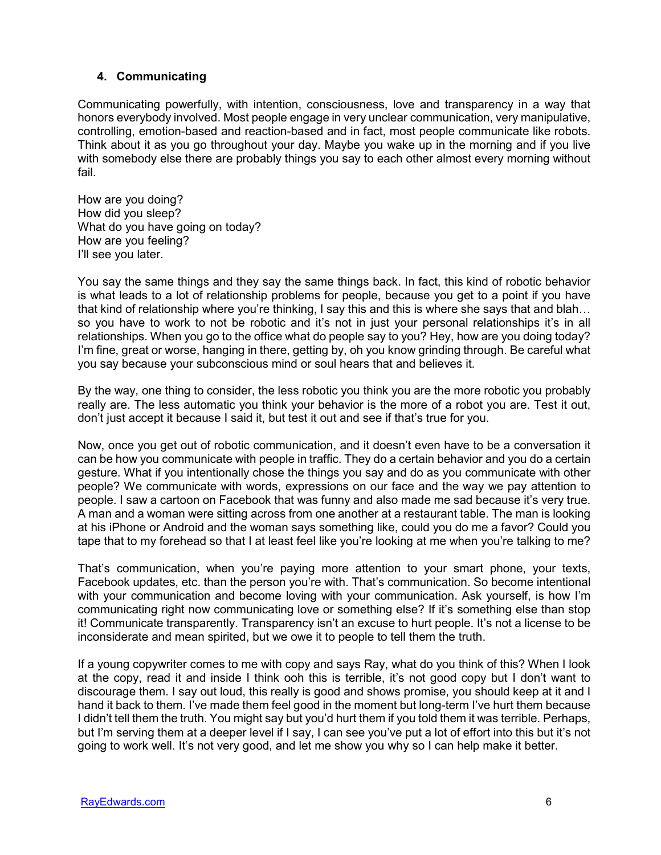## **4. Communicating**

Communicating powerfully, with intention, consciousness, love and transparency in a way that honors everybody involved. Most people engage in very unclear communication, very manipulative, controlling, emotion-based and reaction-based and in fact, most people communicate like robots. Think about it as you go throughout your day. Maybe you wake up in the morning and if you live with somebody else there are probably things you say to each other almost every morning without fail.

How are you doing? How did you sleep? What do you have going on today? How are you feeling? I'll see you later.

You say the same things and they say the same things back. In fact, this kind of robotic behavior is what leads to a lot of relationship problems for people, because you get to a point if you have that kind of relationship where you're thinking, I say this and this is where she says that and blah… so you have to work to not be robotic and it's not in just your personal relationships it's in all relationships. When you go to the office what do people say to you? Hey, how are you doing today? I'm fine, great or worse, hanging in there, getting by, oh you know grinding through. Be careful what you say because your subconscious mind or soul hears that and believes it.

By the way, one thing to consider, the less robotic you think you are the more robotic you probably really are. The less automatic you think your behavior is the more of a robot you are. Test it out, don't just accept it because I said it, but test it out and see if that's true for you.

Now, once you get out of robotic communication, and it doesn't even have to be a conversation it can be how you communicate with people in traffic. They do a certain behavior and you do a certain gesture. What if you intentionally chose the things you say and do as you communicate with other people? We communicate with words, expressions on our face and the way we pay attention to people. I saw a cartoon on Facebook that was funny and also made me sad because it's very true. A man and a woman were sitting across from one another at a restaurant table. The man is looking at his iPhone or Android and the woman says something like, could you do me a favor? Could you tape that to my forehead so that I at least feel like you're looking at me when you're talking to me?

That's communication, when you're paying more attention to your smart phone, your texts, Facebook updates, etc. than the person you're with. That's communication. So become intentional with your communication and become loving with your communication. Ask yourself, is how I'm communicating right now communicating love or something else? If it's something else than stop it! Communicate transparently. Transparency isn't an excuse to hurt people. It's not a license to be inconsiderate and mean spirited, but we owe it to people to tell them the truth.

If a young copywriter comes to me with copy and says Ray, what do you think of this? When I look at the copy, read it and inside I think ooh this is terrible, it's not good copy but I don't want to discourage them. I say out loud, this really is good and shows promise, you should keep at it and I hand it back to them. I've made them feel good in the moment but long-term I've hurt them because I didn't tell them the truth. You might say but you'd hurt them if you told them it was terrible. Perhaps, but I'm serving them at a deeper level if I say, I can see you've put a lot of effort into this but it's not going to work well. It's not very good, and let me show you why so I can help make it better.